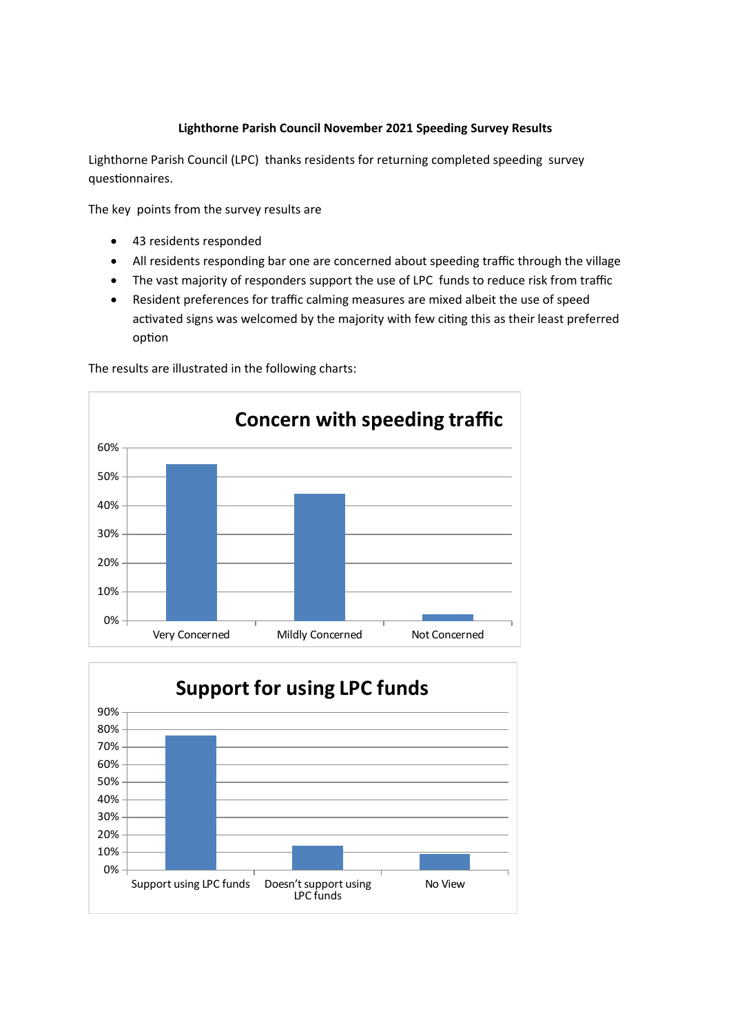## **Lighthorne Parish Council November 2021 Speeding Survey Results**

Lighthorne Parish Council (LPC) thanks residents for returning completed speeding survey questionnaires.

The key points from the survey results are

- 43 residents responded
- All residents responding bar one are concerned about speeding traffic through the village
- The vast majority of responders support the use of LPC funds to reduce risk from traffic
- Resident preferences for traffic calming measures are mixed albeit the use of speed activated signs was welcomed by the majority with few citing this as their least preferred option



The results are illustrated in the following charts: